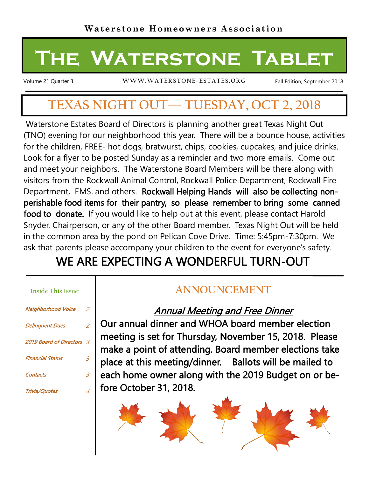# **The Waterstone Tablet**

Volume 21 Quarter 3 **WW W.WAT ERSTONE-ESTATES.ORG**

Fall Edition, September 2018

# **TEXAS NIGHT OUT— TUESDAY, OCT 2, 2018**

Waterstone Estates Board of Directors is planning another great Texas Night Out (TNO) evening for our neighborhood this year. There will be a bounce house, activities for the children, FREE- hot dogs, bratwurst, chips, cookies, cupcakes, and juice drinks. Look for a flyer to be posted Sunday as a reminder and two more emails. Come out and meet your neighbors. The Waterstone Board Members will be there along with visitors from the Rockwall Animal Control, Rockwall Police Department, Rockwall Fire Department, EMS. and others. Rockwall Helping Hands will also be collecting nonperishable food items for their pantry, so please remember to bring some canned food to donate. If you would like to help out at this event, please contact Harold Snyder, Chairperson, or any of the other Board member. Texas Night Out will be held in the common area by the pond on Pelican Cove Drive. Time: 5:45pm-7:30pm. We ask that parents please accompany your children to the event for everyone's safety.

# WE ARE EXPECTING A WONDERFUL TURN-OUT

#### **Inside This Issue:**

| <b>Neighborhood Voice</b> | 2              |
|---------------------------|----------------|
| <b>Delinguent Dues</b>    | 2              |
| 2019 Board of Directors 3 |                |
| <b>Financial Status</b>   | $\overline{3}$ |
| <b>Contacts</b>           | $\overline{3}$ |
| <b>Trivia/Quotes</b>      | 4              |

# **ANNOUNCEMENT**

## Annual Meeting and Free Dinner

Our annual dinner and WHOA board member election meeting is set for Thursday, November 15, 2018. Please make a point of attending. Board member elections take place at this meeting/dinner. Ballots will be mailed to each home owner along with the 2019 Budget on or before October 31, 2018.

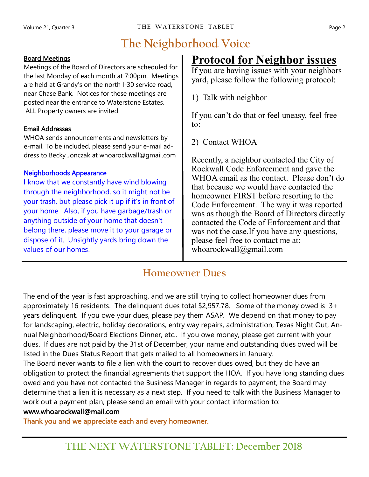# **The Neighborhood Voice**

#### Board Meetings

Meetings of the Board of Directors are scheduled for the last Monday of each month at 7:00pm. Meetings are held at Grandy's on the north I-30 service road, near Chase Bank. Notices for these meetings are posted near the entrance to Waterstone Estates. ALL Property owners are invited.

#### Email Addresses

WHOA sends announcements and newsletters by e-mail. To be included, please send your e-mail address to Becky Jonczak at whoarockwall@gmail.com

#### Neighborhoods Appearance

I know that we constantly have wind blowing through the neighborhood, so it might not be your trash, but please pick it up if it's in front of your home. Also, if you have garbage/trash or anything outside of your home that doesn't belong there, please move it to your garage or dispose of it. Unsightly yards bring down the values of our homes.

# **Protocol for Neighbor issues**

If you are having issues with your neighbors yard, please follow the following protocol:

1) Talk with neighbor

If you can't do that or feel uneasy, feel free to:

2) Contact WHOA

Recently, a neighbor contacted the City of Rockwall Code Enforcement and gave the WHOA email as the contact. Please don't do that because we would have contacted the homeowner FIRST before resorting to the Code Enforcement. The way it was reported was as though the Board of Directors directly contacted the Code of Enforcement and that was not the case.If you have any questions, please feel free to contact me at: whoarockwall@gmail.com

### **Homeowner Dues**

The end of the year is fast approaching, and we are still trying to collect homeowner dues from approximately 16 residents. The delinquent dues total \$2,957.78. Some of the money owed is 3+ years delinquent. If you owe your dues, please pay them ASAP. We depend on that money to pay for landscaping, electric, holiday decorations, entry way repairs, administration, Texas Night Out, Annual Neighborhood/Board Elections Dinner, etc.. If you owe money, please get current with your dues. If dues are not paid by the 31st of December, your name and outstanding dues owed will be listed in the Dues Status Report that gets mailed to all homeowners in January.

The Board never wants to file a lien with the court to recover dues owed, but they do have an obligation to protect the financial agreements that support the HOA. If you have long standing dues owed and you have not contacted the Business Manager in regards to payment, the Board may determine that a lien it is necessary as a next step. If you need to talk with the Business Manager to work out a payment plan, please send an email with your contact information to:

#### www.whoarockwall@mail.com

Thank you and we appreciate each and every homeowner.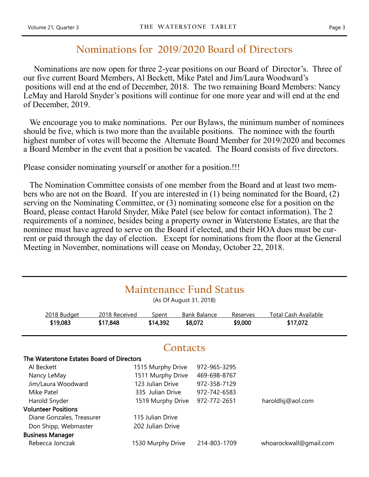### **Nominations for 2019/2020 Board of Directors**

 Nominations are now open for three 2-year positions on our Board of Director's. Three of our five current Board Members, Al Beckett, Mike Patel and Jim/Laura Woodward's positions will end at the end of December, 2018. The two remaining Board Members: Nancy LeMay and Harold Snyder's positions will continue for one more year and will end at the end of December, 2019.

We encourage you to make nominations. Per our Bylaws, the minimum number of nominees should be five, which is two more than the available positions. The nominee with the fourth highest number of votes will become the Alternate Board Member for 2019/2020 and becomes a Board Member in the event that a position be vacated. The Board consists of five directors.

Please consider nominating yourself or another for a position.!!!

 The Nomination Committee consists of one member from the Board and at least two members who are not on the Board. If you are interested in (1) being nominated for the Board, (2) serving on the Nominating Committee, or (3) nominating someone else for a position on the Board, please contact Harold Snyder, Mike Patel (see below for contact information). The 2 requirements of a nominee, besides being a property owner in Waterstone Estates, are that the nominee must have agreed to serve on the Board if elected, and their HOA dues must be current or paid through the day of election. Except for nominations from the floor at the General Meeting in November, nominations will cease on Monday, October 22, 2018.

| <b>Maintenance Fund Status</b><br>(As Of August 31, 2018) |               |                   |  |                     |          |                             |  |  |
|-----------------------------------------------------------|---------------|-------------------|--|---------------------|----------|-----------------------------|--|--|
| 2018 Budget                                               | 2018 Received | <b>Spent</b>      |  | <b>Bank Balance</b> | Reserves | <b>Total Cash Available</b> |  |  |
| \$19,083                                                  | \$17,848      | \$14,392          |  | \$8,072             | \$9,000  | \$17,072                    |  |  |
| Contacts                                                  |               |                   |  |                     |          |                             |  |  |
| The Waterstone Estates Board of Directors                 |               |                   |  |                     |          |                             |  |  |
| Al Beckett                                                |               | 1515 Murphy Drive |  | 972-965-3295        |          |                             |  |  |
| Nancy LeMay                                               |               | 1511 Murphy Drive |  | 469-698-8767        |          |                             |  |  |
| Jim/Laura Woodward                                        |               | 123 Julian Drive  |  | 972-358-7129        |          |                             |  |  |
| Mike Patel                                                |               | 335 Julian Drive  |  | 972-742-6583        |          |                             |  |  |
| Harold Snyder                                             |               | 1519 Murphy Drive |  | 972-772-2651        |          | haroldlsj@aol.com           |  |  |
| <b>Volunteer Positions</b>                                |               |                   |  |                     |          |                             |  |  |
| Diane Gonzales, Treasurer                                 |               | 115 Julian Drive  |  |                     |          |                             |  |  |
| Don Shipp, Webmaster                                      |               | 202 Julian Drive  |  |                     |          |                             |  |  |
| <b>Business Manager</b>                                   |               |                   |  |                     |          |                             |  |  |
| Rebecca Jonczak                                           |               | 1530 Murphy Drive |  | 214-803-1709        |          | whoarockwall@gmail.com      |  |  |